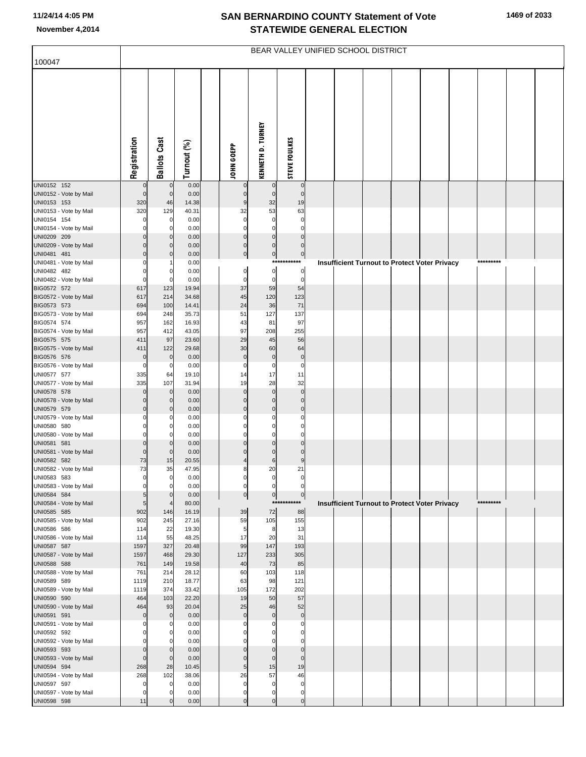## **SAN BERNARDINO COUNTY Statement of Vote November 4,2014 STATEWIDE GENERAL ELECTION**

| 100047                                | BEAR VALLEY UNIFIED SCHOOL DISTRICT |                     |                |  |                            |                                  |                          |  |  |  |  |                                               |           |  |
|---------------------------------------|-------------------------------------|---------------------|----------------|--|----------------------------|----------------------------------|--------------------------|--|--|--|--|-----------------------------------------------|-----------|--|
|                                       |                                     |                     |                |  |                            |                                  |                          |  |  |  |  |                                               |           |  |
|                                       |                                     |                     |                |  |                            |                                  |                          |  |  |  |  |                                               |           |  |
|                                       |                                     |                     |                |  |                            |                                  |                          |  |  |  |  |                                               |           |  |
|                                       |                                     |                     |                |  |                            |                                  |                          |  |  |  |  |                                               |           |  |
|                                       |                                     |                     |                |  |                            |                                  |                          |  |  |  |  |                                               |           |  |
|                                       |                                     |                     |                |  |                            |                                  |                          |  |  |  |  |                                               |           |  |
|                                       |                                     |                     |                |  |                            |                                  |                          |  |  |  |  |                                               |           |  |
|                                       |                                     |                     |                |  |                            |                                  |                          |  |  |  |  |                                               |           |  |
|                                       | Registration                        | <b>Ballots Cast</b> | Turnout (%)    |  | JOHN GOEPP                 | <b>KENNETH D. TURNEY</b>         | <b>STEVE FOULKES</b>     |  |  |  |  |                                               |           |  |
|                                       |                                     |                     |                |  |                            |                                  |                          |  |  |  |  |                                               |           |  |
| UNI0152 152                           | $\Omega$                            | $\mathbf 0$         | 0.00           |  | 0                          | $\mathbf 0$                      | $\boldsymbol{0}$         |  |  |  |  |                                               |           |  |
| UNI0152 - Vote by Mail<br>UNI0153 153 | $\mathbf 0$<br>320                  | $\mathbf 0$<br>46   | 0.00<br>14.38  |  | $\overline{0}$<br>9        | $\mathbf 0$<br>32                | $\mathbf 0$<br>19        |  |  |  |  |                                               |           |  |
| UNI0153 - Vote by Mail                | 320                                 | 129                 | 40.31          |  | 32                         | 53                               | 63                       |  |  |  |  |                                               |           |  |
| UNI0154 154                           |                                     | $\overline{0}$      | 0.00           |  | 0                          | 0                                | $\mathbf 0$              |  |  |  |  |                                               |           |  |
| UNI0154 - Vote by Mail<br>UNI0209 209 | 0<br>0                              | 0<br>$\mathbf 0$    | 0.00<br>0.00   |  | $\Omega$<br>$\overline{0}$ | 0<br>$\mathbf 0$                 | $\mathbf 0$<br>$\pmb{0}$ |  |  |  |  |                                               |           |  |
| UNI0209 - Vote by Mail                | $\Omega$                            | $\mathbf 0$         | 0.00           |  | $\overline{0}$             | $\mathbf 0$                      | $\mathbf 0$              |  |  |  |  |                                               |           |  |
| UNI0481 481                           | $\Omega$                            | $\mathbf 0$         | 0.00           |  | $\overline{0}$             | $\circ$                          | $\circ$                  |  |  |  |  |                                               |           |  |
| UNI0481 - Vote by Mail<br>UNI0482 482 | 0                                   |                     | 0.00           |  |                            | $\pmb{0}$                        | ***********              |  |  |  |  | Insufficient Turnout to Protect Voter Privacy | ********* |  |
| UNI0482 - Vote by Mail                | $\Omega$                            | 0<br>$\mathbf 0$    | 0.00<br>0.00   |  | $\overline{0}$<br>0        | $\mathbf 0$                      | $\pmb{0}$<br>$\mathbf 0$ |  |  |  |  |                                               |           |  |
| BIG0572 572                           | 617                                 | 123                 | 19.94          |  | 37                         | 59                               | 54                       |  |  |  |  |                                               |           |  |
| BIG0572 - Vote by Mail                | 617                                 | 214                 | 34.68          |  | 45                         | 120                              | 123                      |  |  |  |  |                                               |           |  |
| BIG0573 573<br>BIG0573 - Vote by Mail | 694<br>694                          | 100<br>248          | 14.41<br>35.73 |  | 24<br>51                   | 36<br>127                        | 71<br>137                |  |  |  |  |                                               |           |  |
| BIG0574 574                           | 957                                 | 162                 | 16.93          |  | 43                         | 81                               | 97                       |  |  |  |  |                                               |           |  |
| BIG0574 - Vote by Mail                | 957                                 | 412                 | 43.05          |  | 97                         | 208                              | 255                      |  |  |  |  |                                               |           |  |
| BIG0575 575<br>BIG0575 - Vote by Mail | 411<br>411                          | 97<br>122           | 23.60<br>29.68 |  | 29<br>30                   | 45<br>60                         | 56<br>64                 |  |  |  |  |                                               |           |  |
| BIG0576 576                           | $\mathbf 0$                         | $\mathbf 0$         | 0.00           |  | $\mathbf 0$                | $\pmb{0}$                        | $\pmb{0}$                |  |  |  |  |                                               |           |  |
| BIG0576 - Vote by Mail                | $\mathbf 0$                         | 0                   | 0.00           |  | 0                          | 0                                | $\mathbf 0$              |  |  |  |  |                                               |           |  |
| UNI0577 577<br>UNI0577 - Vote by Mail | 335<br>335                          | 64<br>107           | 19.10<br>31.94 |  | 14<br>19                   | 17<br>28                         | 11<br>32                 |  |  |  |  |                                               |           |  |
| UNI0578 578                           | $\Omega$                            | $\mathbf 0$         | 0.00           |  | $\Omega$                   | $\mathbf 0$                      | $\pmb{0}$                |  |  |  |  |                                               |           |  |
| UNI0578 - Vote by Mail                | $\Omega$                            | $\mathbf 0$         | 0.00           |  | $\Omega$                   | $\mathbf 0$                      | $\mathbf 0$              |  |  |  |  |                                               |           |  |
| UNI0579 579<br>UNI0579 - Vote by Mail | $\mathbf 0$<br>0                    | $\mathbf 0$<br>0    | 0.00<br>0.00   |  | $\Omega$<br>$\Omega$       | $\pmb{0}$<br>0                   | $\pmb{0}$<br>0           |  |  |  |  |                                               |           |  |
| UNI0580 580                           |                                     | 0                   | 0.00           |  |                            | $\Omega$                         | $\mathbf 0$              |  |  |  |  |                                               |           |  |
| UNI0580 - Vote by Mail                | $\Omega$                            | $\Omega$            | 0.00           |  | $\Omega$                   | $\Omega$                         | $\mathbf 0$              |  |  |  |  |                                               |           |  |
| UNI0581 581                           | $\mathbf 0$<br>$\Omega$             | $\mathbf 0$         | 0.00           |  | $\Omega$<br>$\Omega$       | $\overline{0}$<br>$\overline{0}$ | $\pmb{0}$<br>$\mathbf 0$ |  |  |  |  |                                               |           |  |
| UNI0581 - Vote by Mail<br>UNI0582 582 | 73                                  | $\mathbf 0$<br>15   | 0.00<br>20.55  |  | 4                          | $\,$ 6                           | $\boldsymbol{9}$         |  |  |  |  |                                               |           |  |
| UNI0582 - Vote by Mail                | 73                                  | 35                  | 47.95          |  | 8                          | 20                               | 21                       |  |  |  |  |                                               |           |  |
| UNI0583 583                           | $\Omega$                            | $\mathbf 0$         | 0.00           |  | 0                          | $\Omega$                         |                          |  |  |  |  |                                               |           |  |
| UNI0583 - Vote by Mail<br>UNI0584 584 | 5                                   | $\Omega$            | 0.00<br>0.00   |  | $\overline{0}$             | $\overline{0}$                   | 0<br>$\overline{0}$      |  |  |  |  |                                               |           |  |
| UNI0584 - Vote by Mail                | 5                                   | $\overline{4}$      | 80.00          |  |                            |                                  | ***********              |  |  |  |  | Insufficient Turnout to Protect Voter Privacy | ********* |  |
| UNI0585 585                           | 902                                 | 146                 | 16.19          |  | 39                         | 72                               | 88                       |  |  |  |  |                                               |           |  |
| UNI0585 - Vote by Mail<br>UNI0586 586 | 902<br>114                          | 245<br>22           | 27.16<br>19.30 |  | 59<br>5                    | 105<br>8                         | 155<br>13                |  |  |  |  |                                               |           |  |
| UNI0586 - Vote by Mail                | 114                                 | 55                  | 48.25          |  | 17                         | 20                               | 31                       |  |  |  |  |                                               |           |  |
| UNI0587 587                           | 1597                                | 327                 | 20.48          |  | 99                         | 147                              | 193                      |  |  |  |  |                                               |           |  |
| UNI0587 - Vote by Mail<br>UNI0588 588 | 1597<br>761                         | 468<br>149          | 29.30<br>19.58 |  | 127<br>40                  | 233<br>73                        | 305<br>85                |  |  |  |  |                                               |           |  |
| UNI0588 - Vote by Mail                | 761                                 | 214                 | 28.12          |  | 60                         | 103                              | 118                      |  |  |  |  |                                               |           |  |
| UNI0589 589                           | 1119                                | 210                 | 18.77          |  | 63                         | 98                               | 121                      |  |  |  |  |                                               |           |  |
| UNI0589 - Vote by Mail<br>UNI0590 590 | 1119<br>464                         | 374<br>103          | 33.42<br>22.20 |  | 105<br>19                  | 172<br>50                        | 202<br>57                |  |  |  |  |                                               |           |  |
| UNI0590 - Vote by Mail                | 464                                 | 93                  | 20.04          |  | 25                         | 46                               | 52                       |  |  |  |  |                                               |           |  |
| UNI0591 591                           | $\Omega$                            | $\mathbf 0$         | 0.00           |  | $\mathbf 0$                | $\mathbf 0$                      | $\pmb{0}$                |  |  |  |  |                                               |           |  |
| UNI0591 - Vote by Mail<br>UNI0592 592 |                                     | 0<br>0              | 0.00<br>0.00   |  | 0                          | 0                                | 0<br>0                   |  |  |  |  |                                               |           |  |
| UNI0592 - Vote by Mail                |                                     | $\Omega$            | 0.00           |  |                            |                                  | $\Omega$                 |  |  |  |  |                                               |           |  |
| UNI0593 593                           | 0                                   | $\mathbf 0$         | 0.00           |  | $\Omega$                   | 0                                | $\pmb{0}$                |  |  |  |  |                                               |           |  |
| UNI0593 - Vote by Mail                | $\Omega$                            | $\mathbf{0}$        | 0.00           |  | $\Omega$<br>5 <sub>l</sub> | $\mathbf 0$                      | $\mathbf 0$              |  |  |  |  |                                               |           |  |
| UNI0594 594<br>UNI0594 - Vote by Mail | 268<br>268                          | 28<br>102           | 10.45<br>38.06 |  | 26                         | 15<br>57                         | 19<br>46                 |  |  |  |  |                                               |           |  |
| UNI0597 597                           |                                     | 0                   | 0.00           |  | $\Omega$                   | 0                                | $\mathbf 0$              |  |  |  |  |                                               |           |  |
| UNI0597 - Vote by Mail                | $\Omega$                            | 0                   | 0.00           |  | $\Omega$                   | 0                                | $\mathbf 0$              |  |  |  |  |                                               |           |  |
| UNI0598 598                           | 11                                  | $\mathbf 0$         | 0.00           |  | $\overline{0}$             | $\overline{0}$                   | 0                        |  |  |  |  |                                               |           |  |